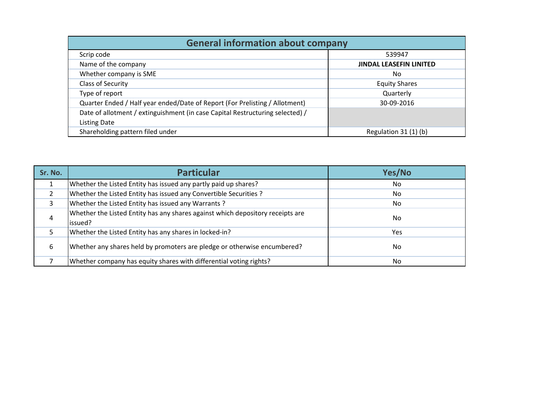| <b>General information about company</b>                                      |                                |  |  |  |  |  |  |  |  |
|-------------------------------------------------------------------------------|--------------------------------|--|--|--|--|--|--|--|--|
| Scrip code                                                                    | 539947                         |  |  |  |  |  |  |  |  |
| Name of the company                                                           | <b>JINDAL LEASEFIN LINITED</b> |  |  |  |  |  |  |  |  |
| Whether company is SME                                                        | No                             |  |  |  |  |  |  |  |  |
| Class of Security                                                             | <b>Equity Shares</b>           |  |  |  |  |  |  |  |  |
| Type of report                                                                | Quarterly                      |  |  |  |  |  |  |  |  |
| Quarter Ended / Half year ended/Date of Report (For Prelisting / Allotment)   | 30-09-2016                     |  |  |  |  |  |  |  |  |
| Date of allotment / extinguishment (in case Capital Restructuring selected) / |                                |  |  |  |  |  |  |  |  |
| <b>Listing Date</b>                                                           |                                |  |  |  |  |  |  |  |  |
| Shareholding pattern filed under                                              | Regulation $31(1)(b)$          |  |  |  |  |  |  |  |  |

| Sr. No. | <b>Particular</b>                                                                          | Yes/No         |
|---------|--------------------------------------------------------------------------------------------|----------------|
|         | Whether the Listed Entity has issued any partly paid up shares?                            | N <sub>o</sub> |
|         | Whether the Listed Entity has issued any Convertible Securities ?                          | N <sub>o</sub> |
|         | Whether the Listed Entity has issued any Warrants?                                         | No             |
| 4       | Whether the Listed Entity has any shares against which depository receipts are<br>lissued? | No             |
|         | Whether the Listed Entity has any shares in locked-in?                                     | Yes            |
| 6       | Whether any shares held by promoters are pledge or otherwise encumbered?                   | No             |
|         | Whether company has equity shares with differential voting rights?                         | N <sub>o</sub> |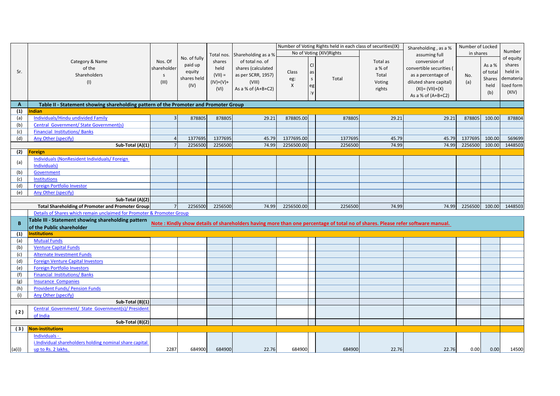|                  |                                                                                      |             |              |                      |                      | Number of Voting Rights held in each class of securities(IX) |           |          |               | Shareholding, as a %                                                                                                           | Number of Locked<br>in shares |           | Number     |
|------------------|--------------------------------------------------------------------------------------|-------------|--------------|----------------------|----------------------|--------------------------------------------------------------|-----------|----------|---------------|--------------------------------------------------------------------------------------------------------------------------------|-------------------------------|-----------|------------|
|                  | Category & Name                                                                      |             | No. of fully | Total nos.<br>shares | Shareholding as a %  | No of Voting (XIV) Rights                                    |           |          |               | assuming full                                                                                                                  |                               |           |            |
|                  |                                                                                      | Nos. Of     |              |                      | of total no. of      |                                                              |           | Total as | conversion of |                                                                                                                                |                               | of equity |            |
|                  | of the                                                                               | shareholder | paid up      | held                 | shares (calculated   |                                                              | <b>CI</b> |          | a % of        | convertible securities (                                                                                                       |                               | As a %    | shares     |
| Sr.              | Shareholders                                                                         | $\mathsf S$ | equity       | $(VII) =$            | as per SCRR, 1957)   | Class                                                        | as        |          | Total         | as a percentage of                                                                                                             | No.                           | of total  | held in    |
|                  |                                                                                      | (III)       | shares held  | $(IV)+(V)+$          | (VIII)               | eg:                                                          | S         | Total    |               | diluted share capital)                                                                                                         |                               | Shares    | demateria  |
|                  | (1)                                                                                  |             | (IV)         |                      |                      | X                                                            | eg        |          | Voting        |                                                                                                                                | (a)                           | held      | lized form |
|                  |                                                                                      |             |              | (VI)                 | As a % of $(A+B+C2)$ |                                                              | :y        |          | rights        | $(XI) = (VII)+(X)$                                                                                                             |                               | (b)       | (XIV)      |
|                  |                                                                                      |             |              |                      |                      |                                                              |           |          |               | As a % of $(A+B+C2)$                                                                                                           |                               |           |            |
| $\mathbf{A}$     | Table II - Statement showing shareholding pattern of the Promoter and Promoter Group |             |              |                      |                      |                                                              |           |          |               |                                                                                                                                |                               |           |            |
| (1)              | Indian                                                                               |             |              |                      |                      |                                                              |           |          |               |                                                                                                                                |                               |           |            |
| (a)              | Individuals/Hindu undivided Family                                                   |             | 878805       | 878805               | 29.21                | 878805.00                                                    |           | 878805   | 29.21         | 29.21                                                                                                                          | 878805                        | 100.00    | 878804     |
| (b)              | Central Government/ State Government(s)                                              |             |              |                      |                      |                                                              |           |          |               |                                                                                                                                |                               |           |            |
| (c)              | <b>Financial Institutions/Banks</b>                                                  |             |              |                      |                      |                                                              |           |          |               |                                                                                                                                |                               |           |            |
| (d)              | <b>Any Other (specify)</b>                                                           |             | 1377695      | 1377695              | 45.79                | 1377695.00                                                   |           | 1377695  | 45.79         | 45.79                                                                                                                          | 1377695                       | 100.00    | 569699     |
|                  | Sub-Total (A)(1)                                                                     |             | 2256500      | 2256500              | 74.99                | 2256500.00                                                   |           | 2256500  | 74.99         | 74.99                                                                                                                          | 2256500                       | 100.00    | 1448503    |
| (2)              | <b>Foreign</b>                                                                       |             |              |                      |                      |                                                              |           |          |               |                                                                                                                                |                               |           |            |
| (a)              | Individuals (NonResident Individuals/Foreign                                         |             |              |                      |                      |                                                              |           |          |               |                                                                                                                                |                               |           |            |
|                  | Individuals)                                                                         |             |              |                      |                      |                                                              |           |          |               |                                                                                                                                |                               |           |            |
| (b)              | Government                                                                           |             |              |                      |                      |                                                              |           |          |               |                                                                                                                                |                               |           |            |
| (c)              | <b>Institutions</b>                                                                  |             |              |                      |                      |                                                              |           |          |               |                                                                                                                                |                               |           |            |
| (d)              | <b>Foreign Portfolio Investor</b>                                                    |             |              |                      |                      |                                                              |           |          |               |                                                                                                                                |                               |           |            |
| (e)              | Any Other (specify)                                                                  |             |              |                      |                      |                                                              |           |          |               |                                                                                                                                |                               |           |            |
|                  | Sub-Total (A)(2)                                                                     |             |              |                      |                      |                                                              |           |          |               |                                                                                                                                |                               |           |            |
|                  | <b>Total Shareholding of Promoter and Promoter Group</b>                             |             | 2256500      | 2256500              | 74.99                | 2256500.00                                                   |           | 2256500  | 74.99         | 74.99                                                                                                                          | 2256500                       | 100.00    | 1448503    |
|                  | Details of Shares which remain unclaimed for Promoter & Promoter Group               |             |              |                      |                      |                                                              |           |          |               |                                                                                                                                |                               |           |            |
| B                | Table III - Statement showing shareholding pattern                                   |             |              |                      |                      |                                                              |           |          |               | Note: Kindly show details of shareholders having more than one percentage of total no of shares. Please refer software manual. |                               |           |            |
|                  | of the Public shareholder                                                            |             |              |                      |                      |                                                              |           |          |               |                                                                                                                                |                               |           |            |
| (1)              | <b>Institutions</b>                                                                  |             |              |                      |                      |                                                              |           |          |               |                                                                                                                                |                               |           |            |
| (a)              | <b>Mutual Funds</b>                                                                  |             |              |                      |                      |                                                              |           |          |               |                                                                                                                                |                               |           |            |
| (b)              | <b>Venture Capital Funds</b>                                                         |             |              |                      |                      |                                                              |           |          |               |                                                                                                                                |                               |           |            |
| (c)              | <b>Alternate Investment Funds</b>                                                    |             |              |                      |                      |                                                              |           |          |               |                                                                                                                                |                               |           |            |
| (d)              | <b>Foreign Venture Capital Investors</b>                                             |             |              |                      |                      |                                                              |           |          |               |                                                                                                                                |                               |           |            |
| (e)              | <b>Foreign Portfolio Investors</b>                                                   |             |              |                      |                      |                                                              |           |          |               |                                                                                                                                |                               |           |            |
| (f)              | <b>Financial Institutions/Banks</b>                                                  |             |              |                      |                      |                                                              |           |          |               |                                                                                                                                |                               |           |            |
| (g)              | <b>Insurance Companies</b>                                                           |             |              |                      |                      |                                                              |           |          |               |                                                                                                                                |                               |           |            |
| (h)              | <b>Provident Funds/ Pension Funds</b>                                                |             |              |                      |                      |                                                              |           |          |               |                                                                                                                                |                               |           |            |
| (i)              | Any Other (specify)                                                                  |             |              |                      |                      |                                                              |           |          |               |                                                                                                                                |                               |           |            |
|                  | Sub-Total (B)(1)                                                                     |             |              |                      |                      |                                                              |           |          |               |                                                                                                                                |                               |           |            |
|                  | Central Government/ State Government(s)/ President                                   |             |              |                      |                      |                                                              |           |          |               |                                                                                                                                |                               |           |            |
| (2)              | of India                                                                             |             |              |                      |                      |                                                              |           |          |               |                                                                                                                                |                               |           |            |
| Sub-Total (B)(2) |                                                                                      |             |              |                      |                      |                                                              |           |          |               |                                                                                                                                |                               |           |            |
| (3)              | <b>Non-institutions</b>                                                              |             |              |                      |                      |                                                              |           |          |               |                                                                                                                                |                               |           |            |
|                  | Individuals -                                                                        |             |              |                      |                      |                                                              |           |          |               |                                                                                                                                |                               |           |            |
|                  | i.Individual shareholders holding nominal share capital                              |             |              |                      |                      |                                                              |           |          |               |                                                                                                                                |                               |           |            |
| (a(i))           | up to Rs. 2 lakhs.                                                                   | 2287        | 684900       | 684900               | 22.76                | 684900                                                       |           | 684900   | 22.76         | 22.76                                                                                                                          | 0.00                          | 0.00      | 14500      |